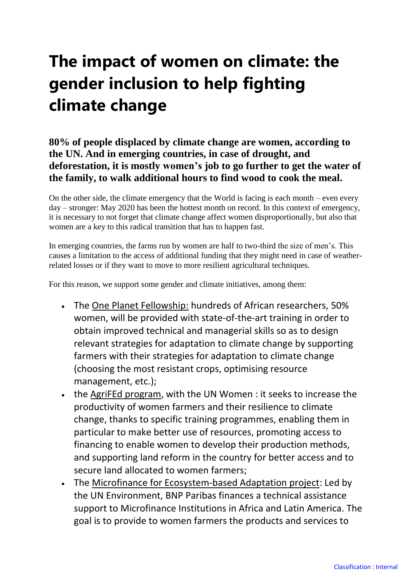## **The impact of women on climate: the gender inclusion to help fighting climate change**

## **80% of people displaced by climate change are women, according to the UN. And in emerging countries, in case of drought, and deforestation, it is mostly women's job to go further to get the water of the family, to walk additional hours to find wood to cook the meal.**

On the other side, the climate emergency that the World is facing is each month – even every day – stronger: May 2020 has been the hottest month on record. In this context of emergency, it is necessary to not forget that climate change affect women disproportionally, but also that women are a key to this radical transition that has to happen fast.

In emerging countries, the farms run by women are half to two-third the size of men's. This causes a limitation to the access of additional funding that they might need in case of weatherrelated losses or if they want to move to more resilient agricultural techniques.

For this reason, we support some gender and climate initiatives, among them:

- The One Planet Fellowship: hundreds of African researchers, 50% women, will be provided with state-of-the-art training in order to obtain improved technical and managerial skills so as to design relevant strategies for adaptation to climate change by supporting farmers with their strategies for adaptation to climate change (choosing the most resistant crops, optimising resource management, etc.);
- the AgriFEd program, with the UN Women : it seeks to increase the productivity of women farmers and their resilience to climate change, thanks to specific training programmes, enabling them in particular to make better use of resources, promoting access to financing to enable women to develop their production methods, and supporting land reform in the country for better access and to secure land allocated to women farmers;
- The Microfinance for Ecosystem-based Adaptation project: Led by the UN Environment, BNP Paribas finances a technical assistance support to Microfinance Institutions in Africa and Latin America. The goal is to provide to women farmers the products and services to